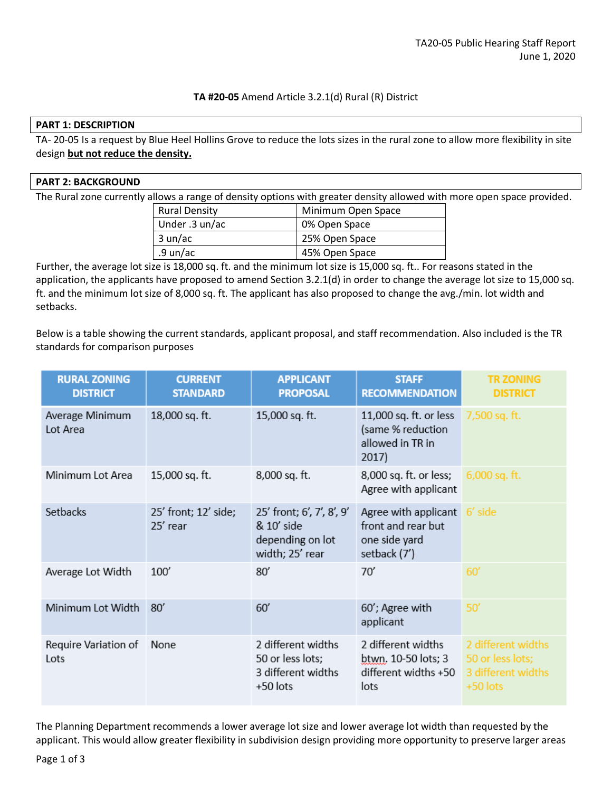### **TA #20-05** Amend Article 3.2.1(d) Rural (R) District

#### **PART 1: DESCRIPTION**

TA- 20-05 Is a request by Blue Heel Hollins Grove to reduce the lots sizes in the rural zone to allow more flexibility in site design **but not reduce the density.**

### **PART 2: BACKGROUND**

The Rural zone currently allows a range of density options with greater density allowed with more open space provided.

| <b>Rural Density</b> | Minimum Open Space |  |
|----------------------|--------------------|--|
| Under .3 un/ac       | 0% Open Space      |  |
| 3 un/ac              | 25% Open Space     |  |
| .9 un/ac             | 45% Open Space     |  |

Further, the average lot size is 18,000 sq. ft. and the minimum lot size is 15,000 sq. ft.. For reasons stated in the application, the applicants have proposed to amend Section 3.2.1(d) in order to change the average lot size to 15,000 sq. ft. and the minimum lot size of 8,000 sq. ft. The applicant has also proposed to change the avg./min. lot width and setbacks.

Below is a table showing the current standards, applicant proposal, and staff recommendation. Also included is the TR standards for comparison purposes

| <b>RURAL ZONING</b><br><b>DISTRICT</b> | <b>CURRENT</b><br><b>STANDARD</b> | <b>APPLICANT</b><br><b>PROPOSAL</b>                                            | <b>STAFF</b><br><b>RECOMMENDATION</b>                                       | <b>TR ZONING</b><br><b>DISTRICT</b>                                        |
|----------------------------------------|-----------------------------------|--------------------------------------------------------------------------------|-----------------------------------------------------------------------------|----------------------------------------------------------------------------|
| Average Minimum<br>Lot Area            | 18,000 sq. ft.                    | 15,000 sq. ft.                                                                 | 11,000 sq. ft. or less<br>(same % reduction<br>allowed in TR in<br>2017)    | 7,500 sq. ft.                                                              |
| Minimum Lot Area                       | 15,000 sq. ft.                    | 8,000 sq. ft.                                                                  | 8,000 sq. ft. or less;<br>Agree with applicant                              | $6,000$ sq. ft.                                                            |
| Setbacks                               | 25' front; 12' side;<br>25' rear  | 25' front; 6', 7', 8', 9'<br>& 10' side<br>depending on lot<br>width; 25' rear | Agree with applicant<br>front and rear but<br>one side yard<br>setback (7') | 6' side                                                                    |
| Average Lot Width                      | 100'                              | 80'                                                                            | 70'                                                                         | 60'                                                                        |
| Minimum Lot Width                      | 80'                               | 60'                                                                            | 60'; Agree with<br>applicant                                                | 50'                                                                        |
| Require Variation of<br>Lots           | None                              | 2 different widths<br>50 or less lots;<br>3 different widths<br>+50 lots       | 2 different widths<br>btwn. 10-50 lots; 3<br>different widths +50<br>lots   | 2 different widths<br>50 or less lots;<br>3 different widths<br>$+50$ lots |

The Planning Department recommends a lower average lot size and lower average lot width than requested by the applicant. This would allow greater flexibility in subdivision design providing more opportunity to preserve larger areas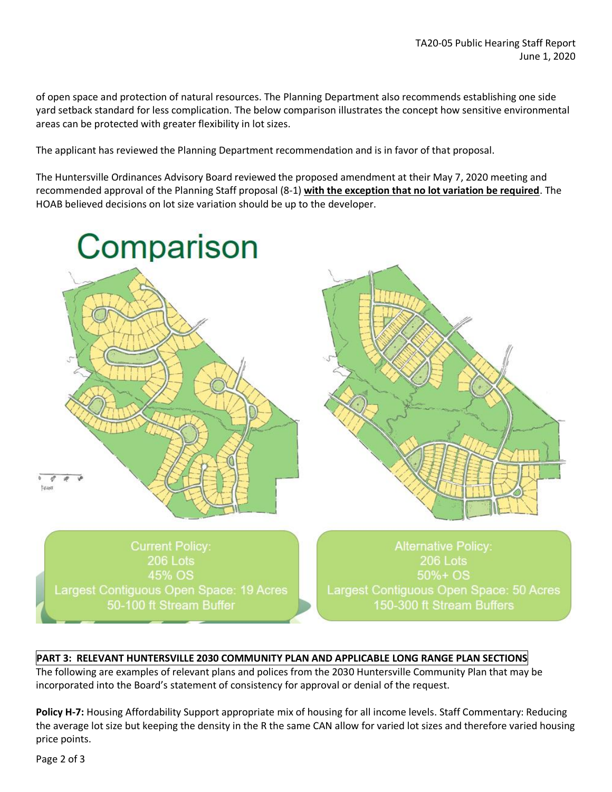of open space and protection of natural resources. The Planning Department also recommends establishing one side yard setback standard for less complication. The below comparison illustrates the concept how sensitive environmental areas can be protected with greater flexibility in lot sizes.

The applicant has reviewed the Planning Department recommendation and is in favor of that proposal.

The Huntersville Ordinances Advisory Board reviewed the proposed amendment at their May 7, 2020 meeting and recommended approval of the Planning Staff proposal (8-1) **with the exception that no lot variation be required**. The HOAB believed decisions on lot size variation should be up to the developer.



# **PART 3: RELEVANT HUNTERSVILLE 2030 COMMUNITY PLAN AND APPLICABLE LONG RANGE PLAN SECTIONS**

The following are examples of relevant plans and polices from the 2030 Huntersville Community Plan that may be incorporated into the Board's statement of consistency for approval or denial of the request.

**Policy H-7:** Housing Affordability Support appropriate mix of housing for all income levels. Staff Commentary: Reducing the average lot size but keeping the density in the R the same CAN allow for varied lot sizes and therefore varied housing price points.

Page 2 of 3